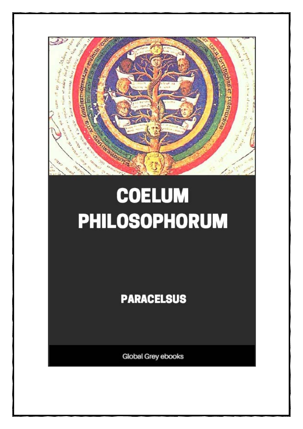

# **COELUM PHILOSOPHORUM**

**PARACELSUS** 

**Global Grey ebooks**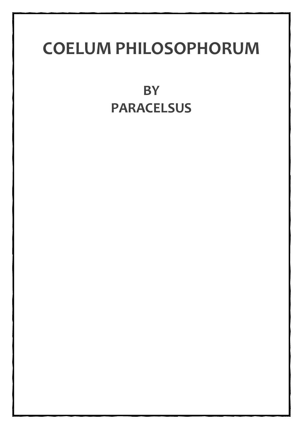## **COELUM PHILOSOPHORUM**

**BY PARACELSUS**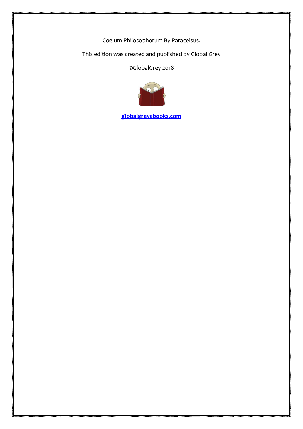Coelum Philosophorum By Paracelsus.

This edition was created and published by Global Grey

©GlobalGrey 2018



**[globalgreyebooks.com](https://www.globalgreyebooks.com/)**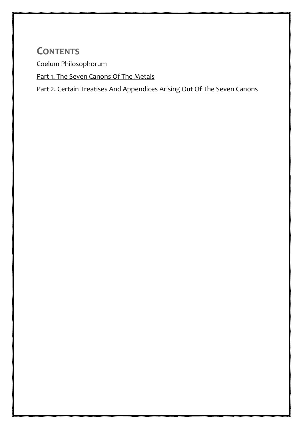### **CONTENTS**

[Coelum Philosophorum](#page-4-0)

[Part 1. The Seven Canons Of The Metals](#page-7-0)

[Part 2. Certain Treatises And Appendices Arising Out Of The Seven Canons](#page-16-0)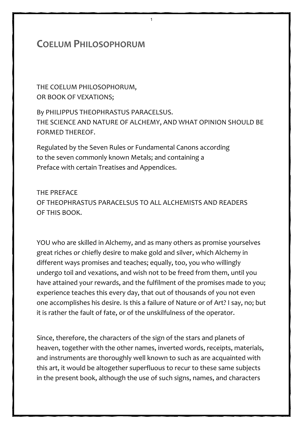### <span id="page-4-0"></span>**COELUM PHILOSOPHORUM**

THE COELUM PHILOSOPHORUM, OR BOOK OF VEXATIONS;

By PHILIPPUS THEOPHRASTUS PARACELSUS. THE SCIENCE AND NATURE OF ALCHEMY, AND WHAT OPINION SHOULD BE FORMED THEREOF.

1

Regulated by the Seven Rules or Fundamental Canons according to the seven commonly known Metals; and containing a Preface with certain Treatises and Appendices.

THE PREFACE OF THEOPHRASTUS PARACELSUS TO ALL ALCHEMISTS AND READERS OF THIS BOOK.

YOU who are skilled in Alchemy, and as many others as promise yourselves great riches or chiefly desire to make gold and silver, which Alchemy in different ways promises and teaches; equally, too, you who willingly undergo toil and vexations, and wish not to be freed from them, until you have attained your rewards, and the fulfilment of the promises made to you; experience teaches this every day, that out of thousands of you not even one accomplishes his desire. Is this a failure of Nature or of Art? I say, no; but it is rather the fault of fate, or of the unskilfulness of the operator.

Since, therefore, the characters of the sign of the stars and planets of heaven, together with the other names, inverted words, receipts, materials, and instruments are thoroughly well known to such as are acquainted with this art, it would be altogether superfluous to recur to these same subjects in the present book, although the use of such signs, names, and characters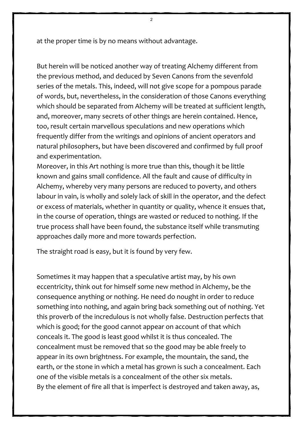at the proper time is by no means without advantage.

But herein will be noticed another way of treating Alchemy different from the previous method, and deduced by Seven Canons from the sevenfold series of the metals. This, indeed, will not give scope for a pompous parade of words, but, nevertheless, in the consideration of those Canons everything which should be separated from Alchemy will be treated at sufficient length, and, moreover, many secrets of other things are herein contained. Hence, too, result certain marvellous speculations and new operations which frequently differ from the writings and opinions of ancient operators and natural philosophers, but have been discovered and confirmed by full proof and experimentation.

Moreover, in this Art nothing is more true than this, though it be little known and gains small confidence. All the fault and cause of difficulty in Alchemy, whereby very many persons are reduced to poverty, and others labour in vain, is wholly and solely lack of skill in the operator, and the defect or excess of materials, whether in quantity or quality, whence it ensues that, in the course of operation, things are wasted or reduced to nothing. If the true process shall have been found, the substance itself while transmuting approaches daily more and more towards perfection.

The straight road is easy, but it is found by very few.

Sometimes it may happen that a speculative artist may, by his own eccentricity, think out for himself some new method in Alchemy, be the consequence anything or nothing. He need do nought in order to reduce something into nothing, and again bring back something out of nothing. Yet this proverb of the incredulous is not wholly false. Destruction perfects that which is good; for the good cannot appear on account of that which conceals it. The good is least good whilst it is thus concealed. The concealment must be removed that so the good may be able freely to appear in its own brightness. For example, the mountain, the sand, the earth, or the stone in which a metal has grown is such a concealment. Each one of the visible metals is a concealment of the other six metals. By the element of fire all that is imperfect is destroyed and taken away, as,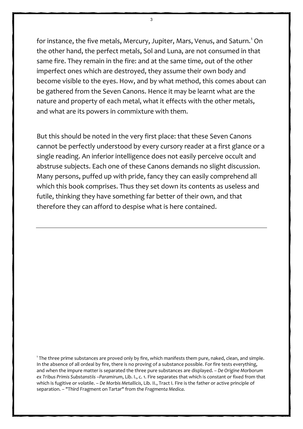for instance, the five metals, Mercury, Jupiter, Mars, Venus, and Saturn.<sup>[1](#page-6-0)</sup> On the other hand, the perfect metals, Sol and Luna, are not consumed in that same fire. They remain in the fire: and at the same time, out of the other imperfect ones which are destroyed, they assume their own body and become visible to the eyes. How, and by what method, this comes about can be gathered from the Seven Canons. Hence it may be learnt what are the nature and property of each metal, what it effects with the other metals, and what are its powers in commixture with them.

But this should be noted in the very first place: that these Seven Canons cannot be perfectly understood by every cursory reader at a first glance or a single reading. An inferior intelligence does not easily perceive occult and abstruse subjects. Each one of these Canons demands no slight discussion. Many persons, puffed up with pride, fancy they can easily comprehend all which this book comprises. Thus they set down its contents as useless and futile, thinking they have something far better of their own, and that therefore they can afford to despise what is here contained.

<span id="page-6-0"></span><sup>1</sup> The three prime substances are proved only by fire, which manifests them pure, naked, clean, and simple. In the absence of all ordeal by fire, there is no proving of a substance possible. For fire tests everything, and when the impure matter is separated the three pure substances are displayed. – *De Origine Morborum ex Tribus Primis Substanstiis* –*Paramirum*, Lib. I., c. 1. Fire separates that which is constant or fixed from that which is fugitive or volatile. – *De Morbis Metallicis*, Lib. II., Tract I. Fire is the father or active principle of separation. – "Third Fragment on Tartar" from the *Fragmenta Medica*.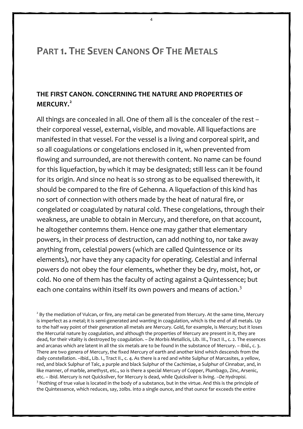### <span id="page-7-0"></span>**PART 1. THE SEVEN CANONS OF THE METALS**

### **THE FIRST CANON. CONCERNING THE NATURE AND PROPERTIES OF MERCURY.[2](#page-7-1)**

4

All things are concealed in all. One of them all is the concealer of the rest – their corporeal vessel, external, visible, and movable. All liquefactions are manifested in that vessel. For the vessel is a living and corporeal spirit, and so all coagulations or congelations enclosed in it, when prevented from flowing and surrounded, are not therewith content. No name can be found for this liquefaction, by which it may be designated; still less can it be found for its origin. And since no heat is so strong as to be equalised therewith, it should be compared to the fire of Gehenna. A liquefaction of this kind has no sort of connection with others made by the heat of natural fire, or congelated or coagulated by natural cold. These congelations, through their weakness, are unable to obtain in Mercury, and therefore, on that account, he altogether contemns them. Hence one may gather that elementary powers, in their process of destruction, can add nothing to, nor take away anything from, celestial powers (which are called Quintessence or its elements), nor have they any capacity for operating. Celestial and infernal powers do not obey the four elements, whether they be dry, moist, hot, or cold. No one of them has the faculty of acting against a Quintessence; but each one contains within itself its own powers and means of action.<sup>[3](#page-7-2)</sup>

<span id="page-7-2"></span><span id="page-7-1"></span><sup>2</sup> By the mediation of Vulcan, or fire, any metal can be generated from Mercury. At the same time, Mercury is imperfect as a metal; it is semi-generated and wanting in coagulation, which is the end of all metals. Up to the half way point of their generation all metals are Mercury. Gold, for example, is Mercury; but it loses the Mercurial nature by coagulation, and although the properties of Mercury are present in it, they are dead, for their vitality is destroyed by coagulation. – *De Morbis Metallicis*, Lib. III., Tract II., c. 2. The essences and arcanas which are latent in all the six metals are to be found in the substance of Mercury. – *Ibid*., c. 3. There are two genera of Mercury, the fixed Mercury of earth and another kind which descends from the daily constellation. –*Ibid*., Lib. I., Tract II., c. 4. As there is a red and white Sulphur of Marcasites, a yellow, red, and black Sulphur of Talc, a purple and black Sulphur of the Cachimiae, a Sulphur of Cinnabar, and, in like manner, of marble, amethyst, etc., so is there a special Mercury of Copper, Plumbago, Zinc, Arsenic, etc. – Ibid. Mercury is not Quicksilver, for Mercury is dead, while Quicksilver is living. –De Hydropisi.<br><sup>3</sup> Nothing of true value is located in the body of a substance, but in the virtue. And this is the principle of the Quintessence, which reduces, say, 20lbs. into a single ounce, and that ounce far exceeds the entire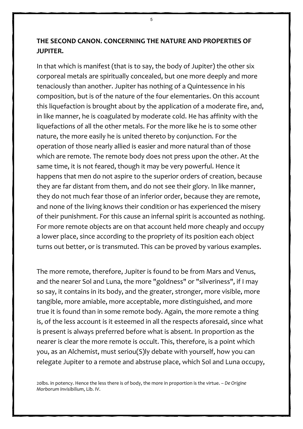### **THE SECOND CANON. CONCERNING THE NATURE AND PROPERTIES OF JUPITER.**

In that which is manifest (that is to say, the body of Jupiter) the other six corporeal metals are spiritually concealed, but one more deeply and more tenaciously than another. Jupiter has nothing of a Quintessence in his composition, but is of the nature of the four elementaries. On this account this liquefaction is brought about by the application of a moderate fire, and, in like manner, he is coagulated by moderate cold. He has affinity with the liquefactions of all the other metals. For the more like he is to some other nature, the more easily he is united thereto by conjunction. For the operation of those nearly allied is easier and more natural than of those which are remote. The remote body does not press upon the other. At the same time, it is not feared, though it may be very powerful. Hence it happens that men do not aspire to the superior orders of creation, because they are far distant from them, and do not see their glory. In like manner, they do not much fear those of an inferior order, because they are remote, and none of the living knows their condition or has experienced the misery of their punishment. For this cause an infernal spirit is accounted as nothing. For more remote objects are on that account held more cheaply and occupy a lower place, since according to the propriety of its position each object turns out better, or is transmuted. This can be proved by various examples.

The more remote, therefore, Jupiter is found to be from Mars and Venus, and the nearer Sol and Luna, the more "goldness" or "silveriness", if I may so say, it contains in its body, and the greater, stronger, more visible, more tangible, more amiable, more acceptable, more distinguished, and more true it is found than in some remote body. Again, the more remote a thing is, of the less account is it esteemed in all the respects aforesaid, since what is present is always preferred before what is absent. In proportion as the nearer is clear the more remote is occult. This, therefore, is a point which you, as an Alchemist, must seriou(S)ly debate with yourself, how you can relegate Jupiter to a remote and abstruse place, which Sol and Luna occupy,

20lbs. in potency. Hence the less there is of body, the more in proportion is the virtue. – *De Origine Morborum Invisibilium*, Lib. IV.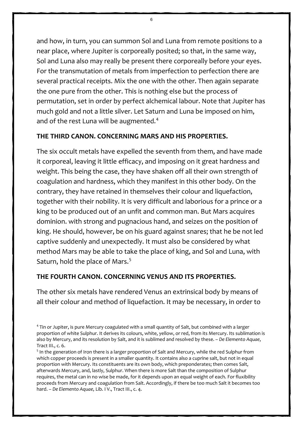and how, in turn, you can summon Sol and Luna from remote positions to a near place, where Jupiter is corporeally posited; so that, in the same way, Sol and Luna also may really be present there corporeally before your eyes. For the transmutation of metals from imperfection to perfection there are several practical receipts. Mix the one with the other. Then again separate the one pure from the other. This is nothing else but the process of permutation, set in order by perfect alchemical labour. Note that Jupiter has much gold and not a little silver. Let Saturn and Luna be imposed on him, and of the rest Luna will be augmented.<sup>[4](#page-9-0)</sup>

### **THE THIRD CANON. CONCERNING MARS AND HIS PROPERTIES.**

The six occult metals have expelled the seventh from them, and have made it corporeal, leaving it little efficacy, and imposing on it great hardness and weight. This being the case, they have shaken off all their own strength of coagulation and hardness, which they manifest in this other body. On the contrary, they have retained in themselves their colour and liquefaction, together with their nobility. It is very difficult and laborious for a prince or a king to be produced out of an unfit and common man. But Mars acquires dominion. with strong and pugnacious hand, and seizes on the position of king. He should, however, be on his guard against snares; that he be not led captive suddenly and unexpectedly. It must also be considered by what method Mars may be able to take the place of king, and Sol and Luna, with Saturn, hold the place of Mars.<sup>[5](#page-9-1)</sup>

### **THE FOURTH CANON. CONCERNING VENUS AND ITS PROPERTIES.**

The other six metals have rendered Venus an extrinsical body by means of all their colour and method of liquefaction. It may be necessary, in order to

<span id="page-9-0"></span><sup>4</sup> Tin or Jupiter, is pure Mercury coagulated with a small quantity of Salt, but combined with a larger proportion of white Sulphur. It derives its colours, white, yellow, or red, from its Mercury. Its sublimation is also by Mercury, and its resolution by Salt, and it is sublimed and resolved by these. – *De Elemento Aquae*, Tract III., c. 6.

<span id="page-9-1"></span><sup>&</sup>lt;sup>5</sup> In the generation of Iron there is a larger proportion of Salt and Mercury, while the red Sulphur from which copper proceeds is present in a smaller quantity. It contains also a cuprine salt, but not in equal proportion with Mercury. Its constituents are its own body, which preponderates; then comes Salt, afterwards Mercury, and, lastly, Sulphur. When there is more Salt than the composition of Sulphur requires, the metal can in no wise be made, for it depends upon an equal weight of each. For fluxibility proceeds from Mercury and coagulation from Salt. Accordingly, if there be too much Salt it becomes too hard. – *De Elemento Aquae*, Lib. I V., Tract III., c. 4.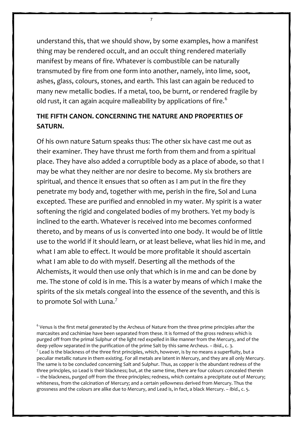understand this, that we should show, by some examples, how a manifest thing may be rendered occult, and an occult thing rendered materially manifest by means of fire. Whatever is combustible can be naturally transmuted by fire from one form into another, namely, into lime, soot, ashes, glass, colours, stones, and earth. This last can again be reduced to many new metallic bodies. If a metal, too, be burnt, or rendered fragile by old rust, it can again acquire malleability by applications of fire.<sup>[6](#page-10-0)</sup>

### **THE FIFTH CANON. CONCERNING THE NATURE AND PROPERTIES OF SATURN.**

Of his own nature Saturn speaks thus: The other six have cast me out as their examiner. They have thrust me forth from them and from a spiritual place. They have also added a corruptible body as a place of abode, so that I may be what they neither are nor desire to become. My six brothers are spiritual, and thence it ensues that so often as I am put in the fire they penetrate my body and, together with me, perish in the fire, Sol and Luna excepted. These are purified and ennobled in my water. My spirit is a water softening the rigid and congelated bodies of my brothers. Yet my body is inclined to the earth. Whatever is received into me becomes conformed thereto, and by means of us is converted into one body. It would be of little use to the world if it should learn, or at least believe, what lies hid in me, and what I am able to effect. It would be more profitable it should ascertain what I am able to do with myself. Deserting all the methods of the Alchemists, it would then use only that which is in me and can be done by me. The stone of cold is in me. This is a water by means of which I make the spirits of the six metals congeal into the essence of the seventh, and this is to promote Sol with Luna.<sup>[7](#page-10-1)</sup>

<span id="page-10-1"></span><span id="page-10-0"></span><sup>&</sup>lt;sup>6</sup> Venus is the first metal generated by the Archeus of Nature from the three prime principles after the marcasites and cachimiae have been separated from these. It is formed of the gross redness which is purged off from the primal Sulphur of the light red expelled in like manner from the Mercury, and of the deep yellow separated in the purification of the prime Salt by this same Archeus. – *Ibid*., c. 3.  $<sup>7</sup>$  Lead is the blackness of the three first principles, which, however, is by no means a superfluity, but a</sup> peculiar metallic nature in them existing. For all metals are latent in Mercury, and they are all only Mercury. The same is to be concluded concerning Salt and Sulphur. Thus, as copper is the abundant redness of the three principles, so Lead is their blackness; but, at the same time, there are four colours concealed therein – the blackness, purged off from the three principles; redness, which contains a precipitate out of Mercury; whiteness, from the calcination of Mercury; and a certain yellowness derived from Mercury. Thus the grossness and the colours are alike due to Mercury, and Lead is, in fact, a black Mercury. – *Ibid*., c. 5.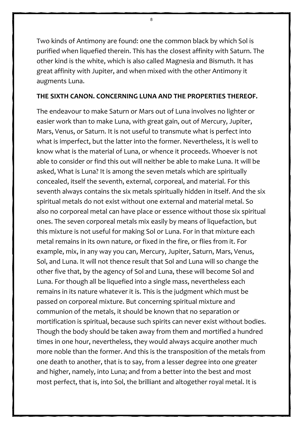Two kinds of Antimony are found: one the common black by which Sol is purified when liquefied therein. This has the closest affinity with Saturn. The other kind is the white, which is also called Magnesia and Bismuth. It has great affinity with Jupiter, and when mixed with the other Antimony it augments Luna.

#### **THE SIXTH CANON. CONCERNING LUNA AND THE PROPERTIES THEREOF.**

The endeavour to make Saturn or Mars out of Luna involves no lighter or easier work than to make Luna, with great gain, out of Mercury, Jupiter, Mars, Venus, or Saturn. It is not useful to transmute what is perfect into what is imperfect, but the latter into the former. Nevertheless, it is well to know what is the material of Luna, or whence it proceeds. Whoever is not able to consider or find this out will neither be able to make Luna. It will be asked, What is Luna? It is among the seven metals which are spiritually concealed, itself the seventh, external, corporeal, and material. For this seventh always contains the six metals spiritually hidden in itself. And the six spiritual metals do not exist without one external and material metal. So also no corporeal metal can have place or essence without those six spiritual ones. The seven corporeal metals mix easily by means of liquefaction, but this mixture is not useful for making Sol or Luna. For in that mixture each metal remains in its own nature, or fixed in the fire, or flies from it. For example, mix, in any way you can, Mercury, Jupiter, Saturn, Mars, Venus, Sol, and Luna. It will not thence result that Sol and Luna will so change the other five that, by the agency of Sol and Luna, these will become Sol and Luna. For though all be liquefied into a single mass, nevertheless each remains in its nature whatever it is. This is the judgment which must be passed on corporeal mixture. But concerning spiritual mixture and communion of the metals, it should be known that no separation or mortification is spiritual, because such spirits can never exist without bodies. Though the body should be taken away from them and mortified a hundred times in one hour, nevertheless, they would always acquire another much more noble than the former. And this is the transposition of the metals from one death to another, that is to say, from a lesser degree into one greater and higher, namely, into Luna; and from a better into the best and most most perfect, that is, into Sol, the brilliant and altogether royal metal. It is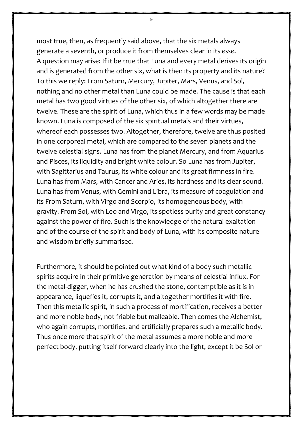most true, then, as frequently said above, that the six metals always generate a seventh, or produce it from themselves clear in its *esse*. A question may arise: If it be true that Luna and every metal derives its origin and is generated from the other six, what is then its property and its nature? To this we reply: From Saturn, Mercury, Jupiter, Mars, Venus, and Sol, nothing and no other metal than Luna could be made. The cause is that each metal has two good virtues of the other six, of which altogether there are twelve. These are the spirit of Luna, which thus in a few words may be made known. Luna is composed of the six spiritual metals and their virtues, whereof each possesses two. Altogether, therefore, twelve are thus posited in one corporeal metal, which are compared to the seven planets and the twelve celestial signs. Luna has from the planet Mercury, and from Aquarius and Pisces, its liquidity and bright white colour. So Luna has from Jupiter, with Sagittarius and Taurus, its white colour and its great firmness in fire. Luna has from Mars, with Cancer and Aries, its hardness and its clear sound. Luna has from Venus, with Gemini and Libra, its measure of coagulation and its From Saturn, with Virgo and Scorpio, its homogeneous body, with gravity. From Sol, with Leo and Virgo, its spotless purity and great constancy against the power of fire. Such is the knowledge of the natural exaltation and of the course of the spirit and body of Luna, with its composite nature and wisdom briefly summarised.

Furthermore, it should be pointed out what kind of a body such metallic spirits acquire in their primitive generation by means of celestial influx. For the metal-digger, when he has crushed the stone, contemptible as it is in appearance, liquefies it, corrupts it, and altogether mortifies it with fire. Then this metallic spirit, in such a process of mortification, receives a better and more noble body, not friable but malleable. Then comes the Alchemist, who again corrupts, mortifies, and artificially prepares such a metallic body. Thus once more that spirit of the metal assumes a more noble and more perfect body, putting itself forward clearly into the light, except it be Sol or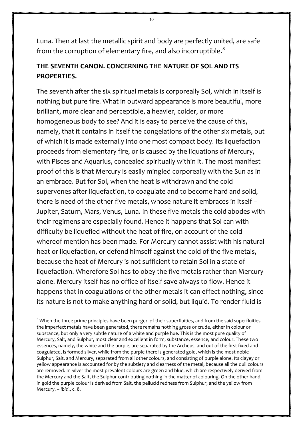Luna. Then at last the metallic spirit and body are perfectly united, are safe from the corruption of elementary fire, and also incorruptible. $8$ 

### **THE SEVENTH CANON. CONCERNING THE NATURE OF SOL AND ITS PROPERTIES.**

The seventh after the six spiritual metals is corporeally Sol, which in itself is nothing but pure fire. What in outward appearance is more beautiful, more brilliant, more clear and perceptible, a heavier, colder, or more homogeneous body to see? And it is easy to perceive the cause of this, namely, that it contains in itself the congelations of the other six metals, out of which it is made externally into one most compact body. Its liquefaction proceeds from elementary fire, or is caused by the liquations of Mercury, with Pisces and Aquarius, concealed spiritually within it. The most manifest proof of this is that Mercury is easily mingled corporeally with the Sun as in an embrace. But for Sol, when the heat is withdrawn and the cold supervenes after liquefaction, to coagulate and to become hard and solid, there is need of the other five metals, whose nature it embraces in itself – Jupiter, Saturn, Mars, Venus, Luna. In these five metals the cold abodes with their regimens are especially found. Hence it happens that Sol can with difficulty be liquefied without the heat of fire, on account of the cold whereof mention has been made. For Mercury cannot assist with his natural heat or liquefaction, or defend himself against the cold of the five metals, because the heat of Mercury is not sufficient to retain Sol in a state of liquefaction. Wherefore Sol has to obey the five metals rather than Mercury alone. Mercury itself has no office of itself save always to flow. Hence it happens that in coagulations of the other metals it can effect nothing, since its nature is not to make anything hard or solid, but liquid. To render fluid is

<span id="page-13-0"></span><sup>8</sup> When the three prime principles have been purged of their superfluities, and from the said superfluities the imperfect metals have been generated, there remains nothing gross or crude, either in colour or substance, but only a very subtle nature of a white and purple hue. This is the most pure quality of Mercury, Salt, and Sulphur, most clear and excellent in form, substance, essence, and colour. These two essences, namely, the white and the purple, are separated by the Archeus, and out of the first fixed and coagulated, is formed silver, while from the purple there is generated gold, which is the most noble Sulphur, Salt, and Mercury, separated from all other colours, and consisting of purple alone. Its clayey or yellow appearance is accounted for by the subtlety and clearness of the metal, because all the dull colours are removed. In Silver the most prevalent colours are green and blue, which are respectively derived from the Mercury and the Salt, the Sulphur contributing nothing in the matter of colouring. On the other hand, in gold the purple colour is derived from Salt, the pellucid redness from Sulphur, and the yellow from Mercury. – *Ibid*., c. 8.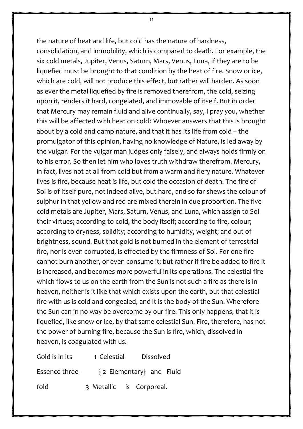the nature of heat and life, but cold has the nature of hardness, consolidation, and immobility, which is compared to death. For example, the six cold metals, Jupiter, Venus, Saturn, Mars, Venus, Luna, if they are to be liquefied must be brought to that condition by the heat of fire. Snow or ice, which are cold, will not produce this effect, but rather will harden. As soon as ever the metal liquefied by fire is removed therefrom, the cold, seizing upon it, renders it hard, congelated, and immovable of itself. But in order that Mercury may remain fluid and alive continually, say, I pray you, whether this will be affected with heat on cold? Whoever answers that this is brought about by a cold and damp nature, and that it has its life from cold – the promulgator of this opinion, having no knowledge of Nature, is led away by the vulgar. For the vulgar man judges only falsely, and always holds firmly on to his error. So then let him who loves truth withdraw therefrom. Mercury, in fact, lives not at all from cold but from a warm and fiery nature. Whatever lives is fire, because heat is life, but cold the occasion of death. The fire of Sol is of itself pure, not indeed alive, but hard, and so far shews the colour of sulphur in that yellow and red are mixed therein in due proportion. The five cold metals are Jupiter, Mars, Saturn, Venus, and Luna, which assign to Sol their virtues; according to cold, the body itself; according to fire, colour; according to dryness, solidity; according to humidity, weight; and out of brightness, sound. But that gold is not burned in the element of terrestrial fire, nor is even corrupted, is effected by the firmness of Sol. For one fire cannot burn another, or even consume it; but rather if fire be added to fire it is increased, and becomes more powerful in its operations. The celestial fire which flows to us on the earth from the Sun is not such a fire as there is in heaven, neither is it like that which exists upon the earth, but that celestial fire with us is cold and congealed, and it is the body of the Sun. Wherefore the Sun can in no way be overcome by our fire. This only happens, that it is liquefied, like snow or ice, by that same celestial Sun. Fire, therefore, has not the power of burning fire, because the Sun is fire, which, dissolved in heaven, is coagulated with us.

| Gold is in its | 1 Celestial              | <b>Dissolved</b>                     |
|----------------|--------------------------|--------------------------------------|
| Essence three- |                          | $\{2 \text{ Elementary}\}$ and Fluid |
| fold           | 3 Metallic is Corporeal. |                                      |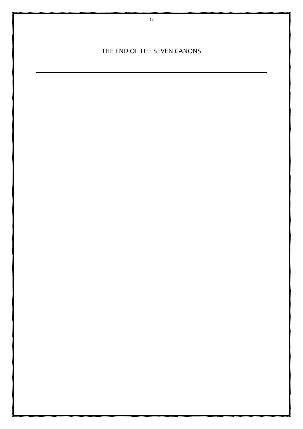THE END OF THE SEVEN CANONS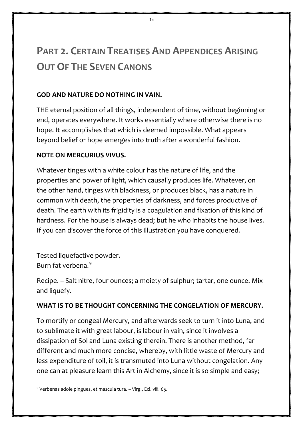### <span id="page-16-0"></span>**PART 2. CERTAIN TREATISES AND APPENDICES ARISING OUT OF THE SEVEN CANONS**

### **GOD AND NATURE DO NOTHING IN VAIN.**

THE eternal position of all things, independent of time, without beginning or end, operates everywhere. It works essentially where otherwise there is no hope. It accomplishes that which is deemed impossible. What appears beyond belief or hope emerges into truth after a wonderful fashion.

### **NOTE ON MERCURIUS VIVUS.**

Whatever tinges with a white colour has the nature of life, and the properties and power of light, which causally produces life. Whatever, on the other hand, tinges with blackness, or produces black, has a nature in common with death, the properties of darkness, and forces productive of death. The earth with its frigidity is a coagulation and fixation of this kind of hardness. For the house is always dead; but he who inhabits the house lives. If you can discover the force of this illustration you have conquered.

Tested liquefactive powder. Burn fat verbena.[9](#page-16-1)

Recipe. – Salt nitre, four ounces; a moiety of sulphur; tartar, one ounce. Mix and liquefy.

### **WHAT IS TO BE THOUGHT CONCERNING THE CONGELATION OF MERCURY.**

To mortify or congeal Mercury, and afterwards seek to turn it into Luna, and to sublimate it with great labour, is labour in vain, since it involves a dissipation of Sol and Luna existing therein. There is another method, far different and much more concise, whereby, with little waste of Mercury and less expenditure of toil, it is transmuted into Luna without congelation. Any one can at pleasure learn this Art in Alchemy, since it is so simple and easy;

<span id="page-16-1"></span> $9$  Verbenas adole pingues, et mascula tura. – Virg., Ecl. viii. 65.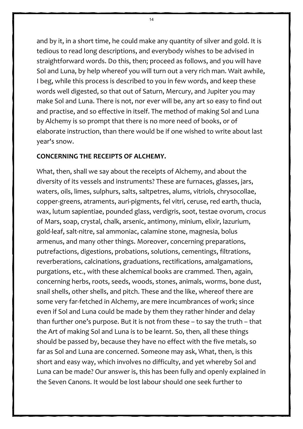and by it, in a short time, he could make any quantity of silver and gold. It is tedious to read long descriptions, and everybody wishes to be advised in straightforward words. Do this, then; proceed as follows, and you will have Sol and Luna, by help whereof you will turn out a very rich man. Wait awhile, I beg, while this process is described to you in few words, and keep these words well digested, so that out of Saturn, Mercury, and Jupiter you may make Sol and Luna. There is not, nor ever will be, any art so easy to find out and practise, and so effective in itself. The method of making Sol and Luna by Alchemy is so prompt that there is no more need of books, or of elaborate instruction, than there would be if one wished to write about last year's snow.

#### **CONCERNING THE RECEIPTS OF ALCHEMY.**

What, then, shall we say about the receipts of Alchemy, and about the diversity of its vessels and instruments? These are furnaces, glasses, jars, waters, oils, limes, sulphurs, salts, saltpetres, alums, vitriols, chrysocollae, copper-greens, atraments, auri-pigments, fel vitri, ceruse, red earth, thucia, wax, lutum sapientiae, pounded glass, verdigris, soot, testae ovorum, crocus of Mars, soap, crystal, chalk, arsenic, antimony, minium, elixir, lazurium, gold-leaf, salt-nitre, sal ammoniac, calamine stone, magnesia, bolus armenus, and many other things. Moreover, concerning preparations, putrefactions, digestions, probations, solutions, cementings, filtrations, reverberations, calcinations, graduations, rectifications, amalgamations, purgations, etc., with these alchemical books are crammed. Then, again, concerning herbs, roots, seeds, woods, stones, animals, worms, bone dust, snail shells, other shells, and pitch. These and the like, whereof there are some very far-fetched in Alchemy, are mere incumbrances of work; since even if Sol and Luna could be made by them they rather hinder and delay than further one's purpose. But it is not from these – to say the truth – that the Art of making Sol and Luna is to be learnt. So, then, all these things should be passed by, because they have no effect with the five metals, so far as Sol and Luna are concerned. Someone may ask, What, then, is this short and easy way, which involves no difficulty, and yet whereby Sol and Luna can be made? Our answer is, this has been fully and openly explained in the Seven Canons. It would be lost labour should one seek further to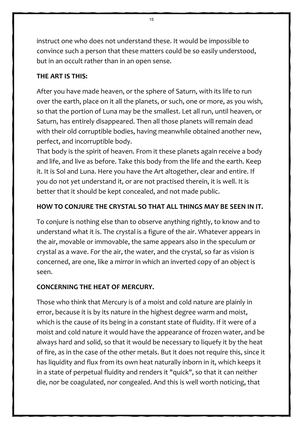instruct one who does not understand these. It would be impossible to convince such a person that these matters could be so easily understood, but in an occult rather than in an open sense.

### **THE ART IS THIS:**

After you have made heaven, or the sphere of Saturn, with its life to run over the earth, place on it all the planets, or such, one or more, as you wish, so that the portion of Luna may be the smallest. Let all run, until heaven, or Saturn, has entirely disappeared. Then all those planets will remain dead with their old corruptible bodies, having meanwhile obtained another new, perfect, and incorruptible body.

That body is the spirit of heaven. From it these planets again receive a body and life, and live as before. Take this body from the life and the earth. Keep it. It is Sol and Luna. Here you have the Art altogether, clear and entire. If you do not yet understand it, or are not practised therein, it is well. It is better that it should be kept concealed, and not made public.

### **HOW TO CONJURE THE CRYSTAL SO THAT ALL THINGS MAY BE SEEN IN IT.**

To conjure is nothing else than to observe anything rightly, to know and to understand what it is. The crystal is a figure of the air. Whatever appears in the air, movable or immovable, the same appears also in the speculum or crystal as a wave. For the air, the water, and the crystal, so far as vision is concerned, are one, like a mirror in which an inverted copy of an object is seen.

### **CONCERNING THE HEAT OF MERCURY.**

Those who think that Mercury is of a moist and cold nature are plainly in error, because it is by its nature in the highest degree warm and moist, which is the cause of its being in a constant state of fluidity. If it were of a moist and cold nature it would have the appearance of frozen water, and be always hard and solid, so that it would be necessary to liquefy it by the heat of fire, as in the case of the other metals. But it does not require this, since it has liquidity and flux from its own heat naturally inborn in it, which keeps it in a state of perpetual fluidity and renders it "quick", so that it can neither die, nor be coagulated, nor congealed. And this is well worth noticing, that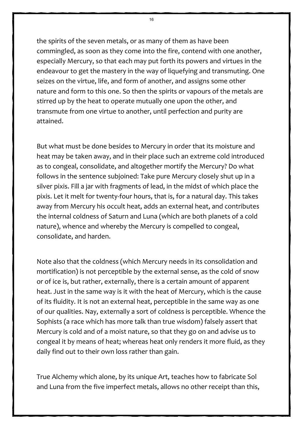the spirits of the seven metals, or as many of them as have been commingled, as soon as they come into the fire, contend with one another, especially Mercury, so that each may put forth its powers and virtues in the endeavour to get the mastery in the way of liquefying and transmuting. One seizes on the virtue, life, and form of another, and assigns some other nature and form to this one. So then the spirits or vapours of the metals are stirred up by the heat to operate mutually one upon the other, and transmute from one virtue to another, until perfection and purity are attained.

But what must be done besides to Mercury in order that its moisture and heat may be taken away, and in their place such an extreme cold introduced as to congeal, consolidate, and altogether mortify the Mercury? Do what follows in the sentence subjoined: Take pure Mercury closely shut up in a silver pixis. Fill a jar with fragments of lead, in the midst of which place the pixis. Let it melt for twenty-four hours, that is, for a natural day. This takes away from Mercury his occult heat, adds an external heat, and contributes the internal coldness of Saturn and Luna (which are both planets of a cold nature), whence and whereby the Mercury is compelled to congeal, consolidate, and harden.

Note also that the coldness (which Mercury needs in its consolidation and mortification) is not perceptible by the external sense, as the cold of snow or of ice is, but rather, externally, there is a certain amount of apparent heat. Just in the same way is it with the heat of Mercury, which is the cause of its fluidity. It is not an external heat, perceptible in the same way as one of our qualities. Nay, externally a sort of coldness is perceptible. Whence the Sophists (a race which has more talk than true wisdom) falsely assert that Mercury is cold and of a moist nature, so that they go on and advise us to congeal it by means of heat; whereas heat only renders it more fluid, as they daily find out to their own loss rather than gain.

True Alchemy which alone, by its unique Art, teaches how to fabricate Sol and Luna from the five imperfect metals, allows no other receipt than this,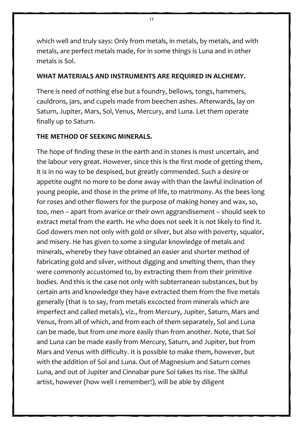which well and truly says: Only from metals, in metals, by metals, and with metals, are perfect metals made, for in some things is Luna and in other metals is Sol.

### **WHAT MATERIALS AND INSTRUMENTS ARE REQUIRED IN ALCHEMY.**

There is need of nothing else but a foundry, bellows, tongs, hammers, cauldrons, jars, and cupels made from beechen ashes. Afterwards, lay on Saturn, Jupiter, Mars, Sol, Venus, Mercury, and Luna. Let them operate finally up to Saturn.

### **THE METHOD OF SEEKING MINERALS.**

The hope of finding these in the earth and in stones is most uncertain, and the labour very great. However, since this is the first mode of getting them, it is in no way to be despised, but greatly commended. Such a desire or appetite ought no more to be done away with than the lawful inclination of young people, and those in the prime of life, to matrimony. As the bees long for roses and other flowers for the purpose of making honey and wax, so, too, men – apart from avarice or their own aggrandisement – should seek to extract metal from the earth. He who does not seek it is not likely to find it. God dowers men not only with gold or silver, but also with poverty, squalor, and misery. He has given to some a singular knowledge of metals and minerals, whereby they have obtained an easier and shorter method of fabricating gold and silver, without digging and smelting them, than they were commonly accustomed to, by extracting them from their primitive bodies. And this is the case not only with subterranean substances, but by certain arts and knowledge they have extracted them from the five metals generally (that is to say, from metals excocted from minerals which are imperfect and called metals), viz., from Mercury, Jupiter, Saturn, Mars and Venus, from all of which, and from each of them separately, Sol and Luna can be made, but from one more easily than from another. Note, that Sol and Luna can be made easily from Mercury, Saturn, and Jupiter, but from Mars and Venus with difficulty. It is possible to make them, however, but with the addition of Sol and Luna. Out of Magnesium and Saturn comes Luna, and out of Jupiter and Cinnabar pure Sol takes its rise. The skilful artist, however (how well I remember!), will be able by diligent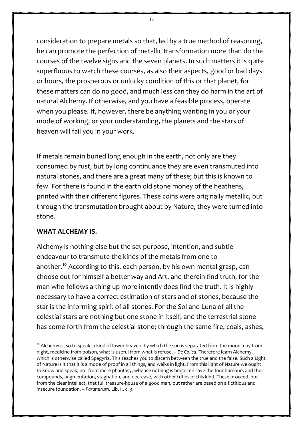consideration to prepare metals so that, led by a true method of reasoning, he can promote the perfection of metallic transformation more than do the courses of the twelve signs and the seven planets. In such matters it is quite superfluous to watch these courses, as also their aspects, good or bad days or hours, the prosperous or unlucky condition of this or that planet, for these matters can do no good, and much less can they do harm in the art of natural Alchemy. If otherwise, and you have a feasible process, operate when you please. If, however, there be anything wanting in you or your mode of working, or your understanding, the planets and the stars of heaven will fail you in your work.

If metals remain buried long enough in the earth, not only are they consumed by rust, but by long continuance they are even transmuted into natural stones, and there are a great many of these; but this is known to few. For there is found in the earth old stone money of the heathens, printed with their different figures. These coins were originally metallic, but through the transmutation brought about by Nature, they were turned into stone.

### **WHAT ALCHEMY IS.**

Alchemy is nothing else but the set purpose, intention, and subtle endeavour to transmute the kinds of the metals from one to another.<sup>[10](#page-21-0)</sup> According to this, each person, by his own mental grasp, can choose out for himself a better way and Art, and therein find truth, for the man who follows a thing up more intently does find the truth. It is highly necessary to have a correct estimation of stars and of stones, because the star is the informing spirit of all stones. For the Sol and Luna of all the celestial stars are nothing but one stone in itself; and the terrestrial stone has come forth from the celestial stone; through the same fire, coals, ashes,

<span id="page-21-0"></span> $10$  Alchemy is, so to speak, a kind of lower heaven, by which the sun is separated from the moon, day from night, medicine from poison, what is useful from what is refuse. – *De Colica*. Therefore learn Alchemy, which is otherwise called Spagyria. This teaches you to discern between the true and the false. Such a Light of Nature is it that it is a mode of proof in all things, and walks in light. From this light of Nature we ought to know and speak, not from mere phantasy, whence nothing is begotten save the four humours and their compounds, augmentation, stagnation, and decrease, with other trifles of this kind. These proceed, not from the clear intellect, that full treasure-house of a good man, but rather are based on a fictitious and insecure foundation. – *Paramirum*, Lib. I., c. 3.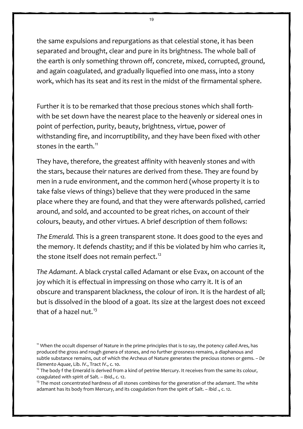the same expulsions and repurgations as that celestial stone, it has been separated and brought, clear and pure in its brightness. The whole ball of the earth is only something thrown off, concrete, mixed, corrupted, ground, and again coagulated, and gradually liquefied into one mass, into a stony work, which has its seat and its rest in the midst of the firmamental sphere.

Further it is to be remarked that those precious stones which shall forthwith be set down have the nearest place to the heavenly or sidereal ones in point of perfection, purity, beauty, brightness, virtue, power of withstanding fire, and incorruptibility, and they have been fixed with other stones in the earth. $11$ 

They have, therefore, the greatest affinity with heavenly stones and with the stars, because their natures are derived from these. They are found by men in a rude environment, and the common herd (whose property it is to take false views of things) believe that they were produced in the same place where they are found, and that they were afterwards polished, carried around, and sold, and accounted to be great riches, on account of their colours, beauty, and other virtues. A brief description of them follows:

*The Emerald.* This is a green transparent stone. It does good to the eyes and the memory. It defends chastity; and if this be violated by him who carries it, the stone itself does not remain perfect.<sup>[12](#page-22-1)</sup>

*The Adamant*. A black crystal called Adamant or else Evax, on account of the joy which it is effectual in impressing on those who carry it. It is of an obscure and transparent blackness, the colour of iron. It is the hardest of all; but is dissolved in the blood of a goat. Its size at the largest does not exceed that of a hazel nut. $13$ 

<span id="page-22-0"></span><sup>11</sup> When the occult dispenser of Nature in the prime principles that is to say, the potency called Ares, has produced the gross and rough genera of stones, and no further grossness remains, a diaphanous and subtle substance remains, out of which the Archeus of Nature generates the precious stones or gems. – *De Elemento Aquae*, Lib. IV., Tract IV., c. 10.

<span id="page-22-1"></span> $12$  The body f the Emerald is derived from a kind of petrine Mercury. It receives from the same its colour, coagulated with spirit of Salt. – *Ibid*., c. 12.

<span id="page-22-2"></span> $13$  The most concentrated hardness of all stones combines for the generation of the adamant. The white adamant has its body from Mercury, and its coagulation from the spirit of Salt. – *Ibid* ., c. 12.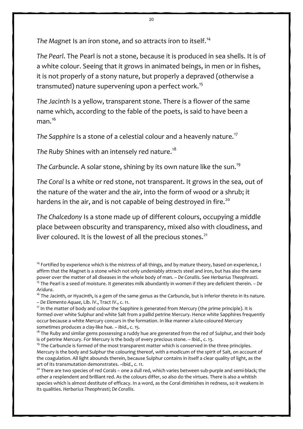The Magnet Is an iron stone, and so attracts iron to itself.<sup>[14](#page-23-0)</sup>

*The Pearl*. The Pearl is not a stone, because it is produced in sea shells. It is of a white colour. Seeing that it grows in animated beings, in men or in fishes, it is not properly of a stony nature, but properly a depraved (otherwise a transmuted) nature supervening upon a perfect work.<sup>[15](#page-23-1)</sup>

*The Jacinth* Is a yellow, transparent stone. There is a flower of the same name which, according to the fable of the poets, is said to have been a  $m$ an.<sup>[16](#page-23-2)</sup>

The Sapphire Is a stone of a celestial colour and a heavenly nature.<sup>[17](#page-23-3)</sup>

The Ruby Shines with an intensely red nature.<sup>[18](#page-23-4)</sup>

The Carbuncle. A solar stone, shining by its own nature like the sun.<sup>[19](#page-23-5)</sup>

*The Coral* Is a white or red stone, not transparent. It grows in the sea, out of the nature of the water and the air, into the form of wood or a shrub; it hardens in the air, and is not capable of being destroyed in fire.<sup>[20](#page-23-6)</sup>

*The Chalcedony* Is a stone made up of different colours, occupying a middle place between obscurity and transparency, mixed also with cloudiness, and liver coloured. It is the lowest of all the precious stones.<sup>[21](#page-23-7)</sup>

<span id="page-23-0"></span><sup>&</sup>lt;sup>14</sup> Fortified by experience which is the mistress of all things, and by mature theory, based on experience, I affirm that the Magnet is a stone which not only undeniably attracts steel and iron, but has also the same power over the matter of all diseases in the whole body of man. - De Corallis. See Herbarius Theophrasti. <sup>15</sup> The Pearl is a seed of moisture. It generates milk abundantly in women if they are deficient therein. – De Aridura.

<span id="page-23-2"></span><span id="page-23-1"></span><sup>&</sup>lt;sup>16</sup> The Jacinth, or Hyacinth, is a gem of the same genus as the Carbuncle, but is inferior thereto in its nature. – *De Elemento Aquae*, Lib. IV., Tract IV., c. 11.

<span id="page-23-3"></span> $17$  In the matter of body and colour the Sapphire is generated from Mercury (the prime principle). It is formed over white Sulphur and white Salt from a pallid petrine Mercury. Hence white Sapphires frequently occur because a white Mercury concurs in the formation. In like manner a lute-coloured Mercury sometimes produces a clay-like hue. – *Ibid*., c. 15.

<span id="page-23-4"></span><sup>&</sup>lt;sup>18</sup> The Ruby and similar gems possessing a ruddy hue are generated from the red of Sulphur, and their body is of petrine Mercury. For Mercury is the body of every precious stone. – *Ibid*., c. 13.

<span id="page-23-7"></span><span id="page-23-5"></span> $19$  The Carbuncle is formed of the most transparent matter which is conserved in the three principles. Mercury is the body and Sulphur the colouring thereof, with a modicum of the spirit of Salt, on account of the coagulation. All light abounds therein, because Sulphur contains in itself a clear quality of light, as the art of its transmutation demonstrates. –*Ibid*., c. 11.

<span id="page-23-6"></span><sup>&</sup>lt;sup>20</sup> There are two species of red Corals – one a dull red, which varies between sub-purple and semi-black; the other a resplendent and brilliant red. As the colours differ, so also do the virtues. There is also a whitish species which is almost destitute of efficacy. In a word, as the Coral diminishes in redness, so it weakens in its qualities. *Herbarius Theophrasti*; *De Corallis*.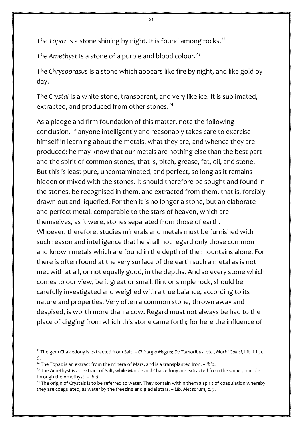The Topaz Is a stone shining by night. It is found among rocks.<sup>[22](#page-24-0)</sup>

The Amethyst Is a stone of a purple and blood colour.<sup>[23](#page-24-1)</sup>

*The Chrysoprasus* Is a stone which appears like fire by night, and like gold by day.

*The Crystal* Is a white stone, transparent, and very like ice. It is sublimated, extracted, and produced from other stones.<sup>[24](#page-24-2)</sup>

As a pledge and firm foundation of this matter, note the following conclusion. If anyone intelligently and reasonably takes care to exercise himself in learning about the metals, what they are, and whence they are produced: he may know that our metals are nothing else than the best part and the spirit of common stones, that is, pitch, grease, fat, oil, and stone. But this is least pure, uncontaminated, and perfect, so long as it remains hidden or mixed with the stones. It should therefore be sought and found in the stones, be recognised in them, and extracted from them, that is, forcibly drawn out and liquefied. For then it is no longer a stone, but an elaborate and perfect metal, comparable to the stars of heaven, which are themselves, as it were, stones separated from those of earth. Whoever, therefore, studies minerals and metals must be furnished with such reason and intelligence that he shall not regard only those common and known metals which are found in the depth of the mountains alone. For there is often found at the very surface of the earth such a metal as is not met with at all, or not equally good, in the depths. And so every stone which comes to our view, be it great or small, flint or simple rock, should be carefully investigated and weighed with a true balance, according to its nature and properties. Very often a common stone, thrown away and despised, is worth more than a cow. Regard must not always be had to the place of digging from which this stone came forth; for here the influence of

<sup>21</sup> The gem Chalcedony is extracted from Salt. – *Chirurgia Magna*; *De Tumoribus*, etc., *Morbi Gallici*, Lib. III., c. 6.

<span id="page-24-1"></span><span id="page-24-0"></span><sup>&</sup>lt;sup>22</sup> The Topaz is an extract from the minera of Mars, and is a transplanted Iron. – *Ibid*.<br><sup>23</sup> The Amethyst is an extract of Salt, while Marble and Chalcedony are extracted from the same principle through the Amethyst. – *Ibid*.<br><sup>24</sup> The origin of Crystals is to be referred to water. They contain within them a spirit of coagulation whereby

<span id="page-24-2"></span>they are coagulated, as water by the freezing and glacial stars. – *Lib. Meteorum*, c. 7.